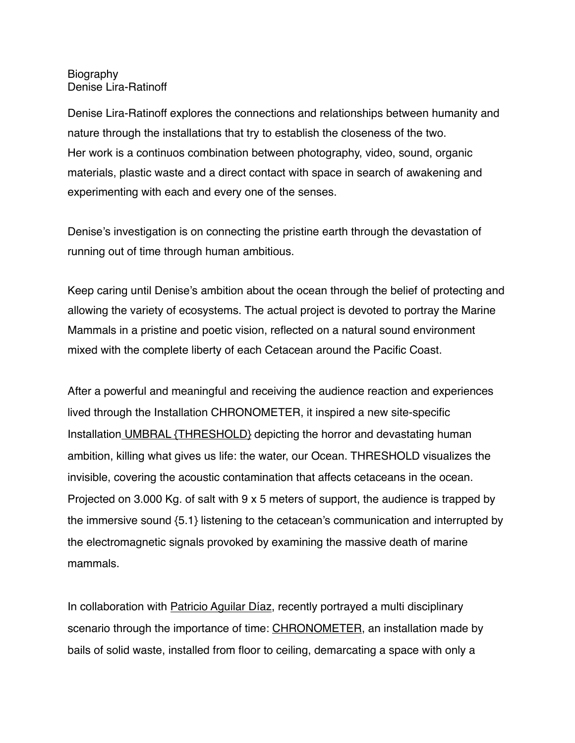## Biography Denise Lira-Ratinoff

Denise Lira-Ratinoff explores the connections and relationships between humanity and nature through the installations that try to establish the closeness of the two. Her work is a continuos combination between photography, video, sound, organic materials, plastic waste and a direct contact with space in search of awakening and experimenting with each and every one of the senses.

Denise's investigation is on connecting the pristine earth through the devastation of running out of time through human ambitious.

Keep caring until Denise's ambition about the ocean through the belief of protecting and allowing the variety of ecosystems. The actual project is devoted to portray the Marine Mammals in a pristine and poetic vision, reflected on a natural sound environment mixed with the complete liberty of each Cetacean around the Pacific Coast.

After a powerful and meaningful and receiving the audience reaction and experiences lived through the Installation CHRONOMETER, it inspired a new site-specific Installation [UMBRAL {THRESHOLD}](https://www.deniseliraratinoff.com/copy-of-breathe-respirar-1) depicting the horror and devastating human ambition, killing what gives us life: the water, our Ocean. THRESHOLD visualizes the invisible, covering the acoustic contamination that affects cetaceans in the ocean. Projected on 3.000 Kg. of salt with 9 x 5 meters of support, the audience is trapped by the immersive sound {5.1} listening to the cetacean's communication and interrupted by the electromagnetic signals provoked by examining the massive death of marine mammals.

In collaboration with **[Patricio Aguilar Díaz](https://www.chiloecine.com/)**, recently portrayed a multi disciplinary scenario through the importance of time: [CHRONOMETER](https://www.deniseliraratinoff.com/copy-of-cronometro-1), an installation made by bails of solid waste, installed from floor to ceiling, demarcating a space with only a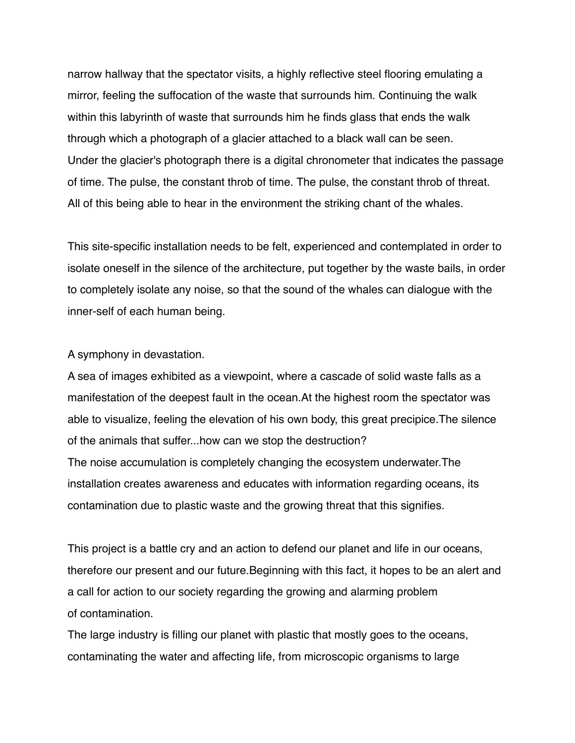narrow hallway that the spectator visits, a highly reflective steel flooring emulating a mirror, feeling the suffocation of the waste that surrounds him. Continuing the walk within this labyrinth of waste that surrounds him he finds glass that ends the walk through which a photograph of a glacier attached to a black wall can be seen. Under the glacier's photograph there is a digital chronometer that indicates the passage of time. The pulse, the constant throb of time. The pulse, the constant throb of threat. All of this being able to hear in the environment the striking chant of the whales.

This site-specific installation needs to be felt, experienced and contemplated in order to isolate oneself in the silence of the architecture, put together by the waste bails, in order to completely isolate any noise, so that the sound of the whales can dialogue with the inner-self of each human being.

A symphony in devastation.

A sea of images exhibited as a viewpoint, where a cascade of solid waste falls as a manifestation of the deepest fault in the ocean.At the highest room the spectator was able to visualize, feeling the elevation of his own body, this great precipice.The silence of the animals that suffer...how can we stop the destruction? The noise accumulation is completely changing the ecosystem underwater.The installation creates awareness and educates with information regarding oceans, its contamination due to plastic waste and the growing threat that this signifies.

This project is a battle cry and an action to defend our planet and life in our oceans, therefore our present and our future.Beginning with this fact, it hopes to be an alert and a call for action to our society regarding the growing and alarming problem of contamination.

The large industry is filling our planet with plastic that mostly goes to the oceans, contaminating the water and affecting life, from microscopic organisms to large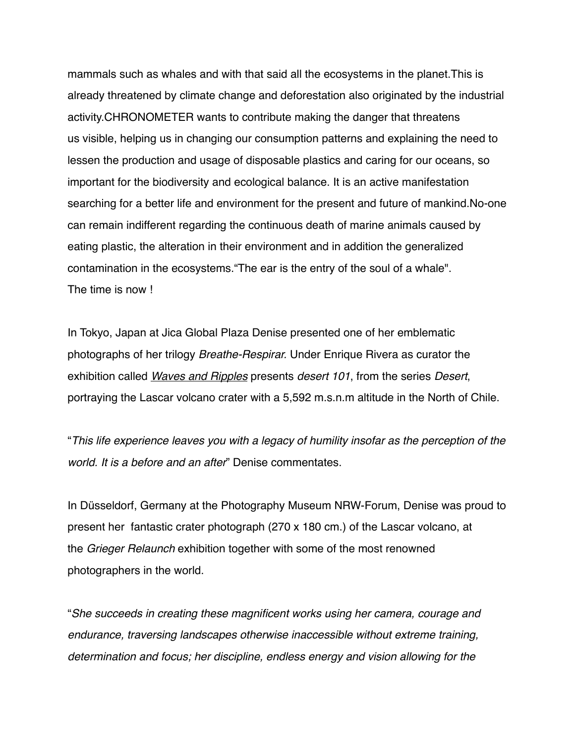mammals such as whales and with that said all the ecosystems in the planet.This is already threatened by climate change and deforestation also originated by the industrial activity.CHRONOMETER wants to contribute making the danger that threatens us visible, helping us in changing our consumption patterns and explaining the need to lessen the production and usage of disposable plastics and caring for our oceans, so important for the biodiversity and ecological balance. It is an active manifestation searching for a better life and environment for the present and future of mankind.No-one can remain indifferent regarding the continuous death of marine animals caused by eating plastic, the alteration in their environment and in addition the generalized contamination in the ecosystems."The ear is the entry of the soul of a whale". The time is now !

In Tokyo, Japan at Jica Global Plaza Denise presented one of her emblematic photographs of her trilogy *Breathe-Respirar.* Under Enrique Rivera as curator the exhibition called *[Waves and Ripples](https://www.deniseliraratinoff.com/waves-and-ripples)* presents *desert 101*, from the series *Desert*, portraying the Lascar volcano crater with a 5,592 m.s.n.m altitude in the North of Chile.

"*This life experience leaves you with a legacy of humility insofar as the perception of the world. It is a before and an after*" Denise commentates.

In Düsseldorf, Germany at the Photography Museum NRW-Forum, Denise was proud to present her fantastic crater photograph (270 x 180 cm.) of the Lascar volcano, at the *Grieger Relaunch* exhibition together with some of the most renowned photographers in the world.

"*She succeeds in creating these magnificent works using her camera, courage and endurance, traversing landscapes otherwise inaccessible without extreme training, determination and focus; her discipline, endless energy and vision allowing for the*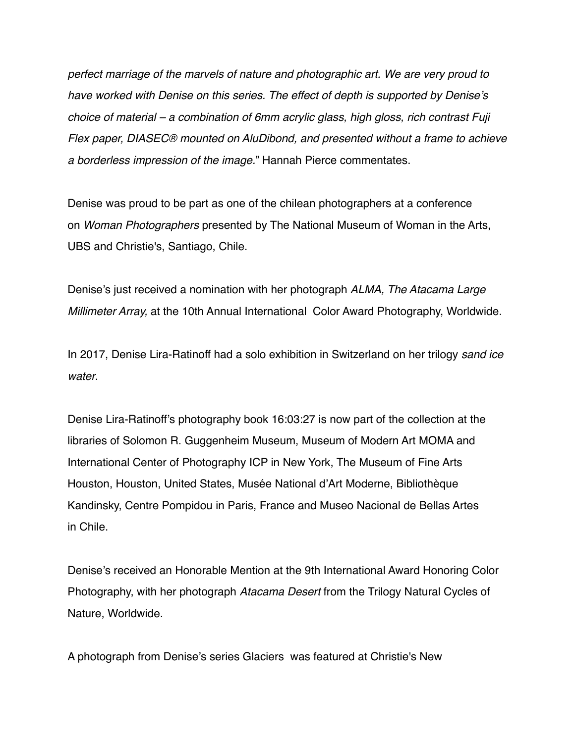*perfect marriage of the marvels of nature and photographic art. We are very proud to have worked with Denise on this series. The effect of depth is supported by Denise's choice of material – a combination of 6mm acrylic glass, high gloss, rich contrast Fuji Flex paper, DIASEC® mounted on AluDibond, and presented without a frame to achieve a borderless impression of the image.*" Hannah Pierce commentates.

Denise was proud to be part as one of the chilean photographers at a conference on *Woman Photographers* presented by The National Museum of Woman in the Arts, UBS and Christie's, Santiago, Chile.

Denise's just received a nomination with her photograph *ALMA, The Atacama Large Millimeter Array,* at the 10th Annual International Color Award Photography, Worldwide.

In 2017, Denise Lira-Ratinoff had a solo exhibition in Switzerland on her trilogy *sand ice water*.

Denise Lira-Ratinoff's photography book 16:03:27 is now part of the collection at the libraries of Solomon R. Guggenheim Museum, Museum of Modern Art MOMA and International Center of Photography ICP in New York, The Museum of Fine Arts Houston, Houston, United States, Musée National d'Art Moderne, Bibliothèque Kandinsky, Centre Pompidou in Paris, France and Museo Nacional de Bellas Artes in Chile.

Denise's received an Honorable Mention at the 9th International Award Honoring Color Photography, with her photograph *Atacama Desert* from the Trilogy Natural Cycles of Nature, Worldwide.

A photograph from Denise's series Glaciers was featured at Christie's New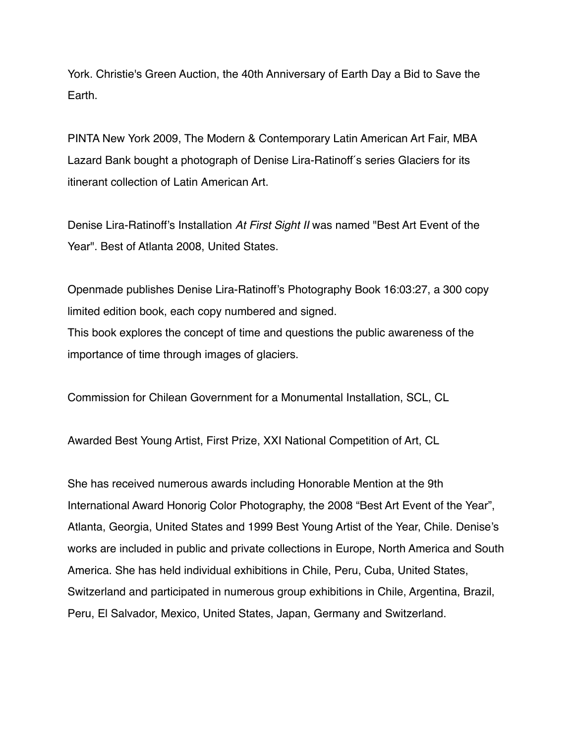York. Christie's Green Auction, the 40th Anniversary of Earth Day a Bid to Save the Earth.

PINTA New York 2009, The Modern & Contemporary Latin American Art Fair, MBA Lazard Bank bought a photograph of Denise Lira-Ratinoff's series Glaciers for its itinerant collection of Latin American Art.

Denise Lira-Ratinoff's Installation *At First Sight II* was named "Best Art Event of the Year". Best of Atlanta 2008, United States.

Openmade publishes Denise Lira-Ratinoff's Photography Book 16:03:27, a 300 copy limited edition book, each copy numbered and signed.

This book explores the concept of time and questions the public awareness of the importance of time through images of glaciers.

Commission for Chilean Government for a Monumental Installation, SCL, CL

Awarded Best Young Artist, First Prize, XXI National Competition of Art, CL

She has received numerous awards including Honorable Mention at the 9th International Award Honorig Color Photography, the 2008 "Best Art Event of the Year", Atlanta, Georgia, United States and 1999 Best Young Artist of the Year, Chile. Denise's works are included in public and private collections in Europe, North America and South America. She has held individual exhibitions in Chile, Peru, Cuba, United States, Switzerland and participated in numerous group exhibitions in Chile, Argentina, Brazil, Peru, El Salvador, Mexico, United States, Japan, Germany and Switzerland.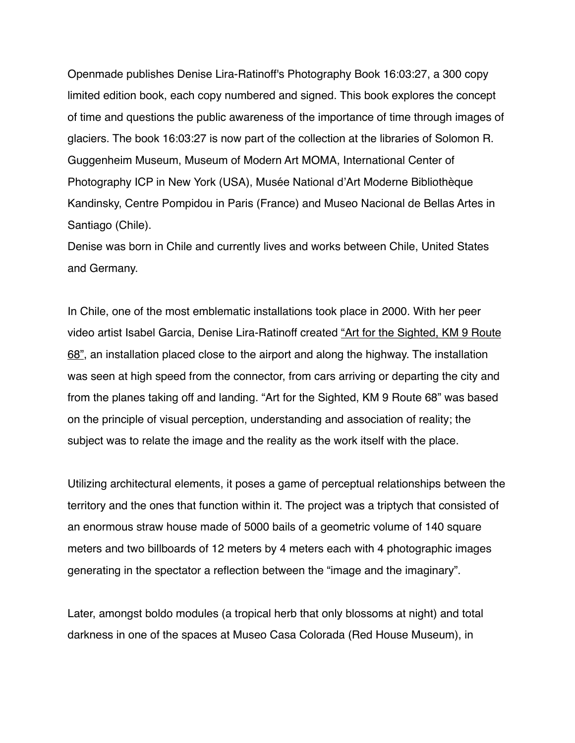Openmade publishes Denise Lira-Ratinoff's Photography Book 16:03:27, a 300 copy limited edition book, each copy numbered and signed. This book explores the concept of time and questions the public awareness of the importance of time through images of glaciers. The book 16:03:27 is now part of the collection at the libraries of Solomon R. Guggenheim Museum, Museum of Modern Art MOMA, International Center of Photography ICP in New York (USA), Musée National d'Art Moderne Bibliothèque Kandinsky, Centre Pompidou in Paris (France) and Museo Nacional de Bellas Artes in Santiago (Chile).

Denise was born in Chile and currently lives and works between Chile, United States and Germany.

In Chile, one of the most emblematic installations took place in 2000. With her peer video artist Isabel Garcia, Denise Lira-Ratinoff created ["Art for the Sighted, KM 9 Route](https://www.deniseliraratinoff.com/copia-de-straw-house-1)  [68"](https://www.deniseliraratinoff.com/copia-de-straw-house-1), an installation placed close to the airport and along the highway. The installation was seen at high speed from the connector, from cars arriving or departing the city and from the planes taking off and landing. "Art for the Sighted, KM 9 Route 68" was based on the principle of visual perception, understanding and association of reality; the subject was to relate the image and the reality as the work itself with the place.

Utilizing architectural elements, it poses a game of perceptual relationships between the territory and the ones that function within it. The project was a triptych that consisted of an enormous straw house made of 5000 bails of a geometric volume of 140 square meters and two billboards of 12 meters by 4 meters each with 4 photographic images generating in the spectator a reflection between the "image and the imaginary".

Later, amongst boldo modules (a tropical herb that only blossoms at night) and total darkness in one of the spaces at Museo Casa Colorada (Red House Museum), in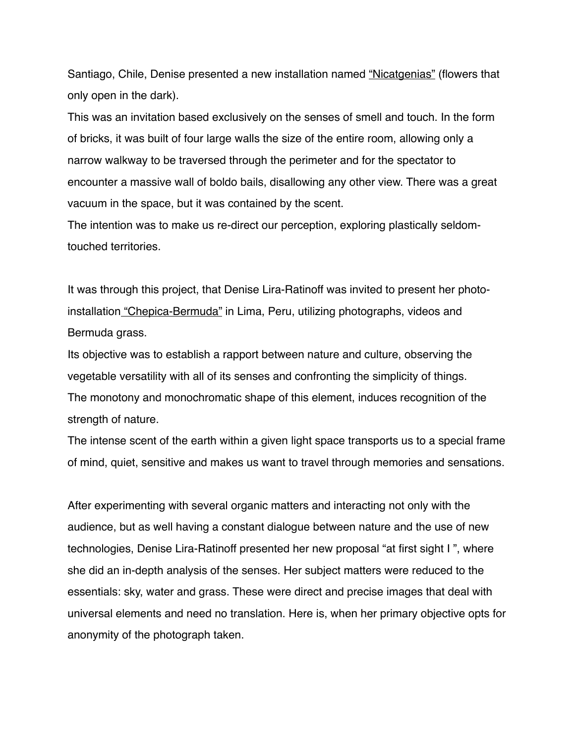Santiago, Chile, Denise presented a new installation named ["Nicatgenias"](https://www.deniseliraratinoff.com/copia-de-nictagenias-1) (flowers that only open in the dark).

This was an invitation based exclusively on the senses of smell and touch. In the form of bricks, it was built of four large walls the size of the entire room, allowing only a narrow walkway to be traversed through the perimeter and for the spectator to encounter a massive wall of boldo bails, disallowing any other view. There was a great vacuum in the space, but it was contained by the scent.

The intention was to make us re-direct our perception, exploring plastically seldomtouched territories.

It was through this project, that Denise Lira-Ratinoff was invited to present her photoinstallation ["Chepica-Bermuda"](https://www.deniseliraratinoff.com/copia-de-chepica-bermuda-1) in Lima, Peru, utilizing photographs, videos and Bermuda grass.

Its objective was to establish a rapport between nature and culture, observing the vegetable versatility with all of its senses and confronting the simplicity of things. The monotony and monochromatic shape of this element, induces recognition of the strength of nature.

The intense scent of the earth within a given light space transports us to a special frame of mind, quiet, sensitive and makes us want to travel through memories and sensations.

After experimenting with several organic matters and interacting not only with the audience, but as well having a constant dialogue between nature and the use of new technologies, Denise Lira-Ratinoff presented her new proposal "at first sight I ", where she did an in-depth analysis of the senses. Her subject matters were reduced to the essentials: sky, water and grass. These were direct and precise images that deal with universal elements and need no translation. Here is, when her primary objective opts for anonymity of the photograph taken.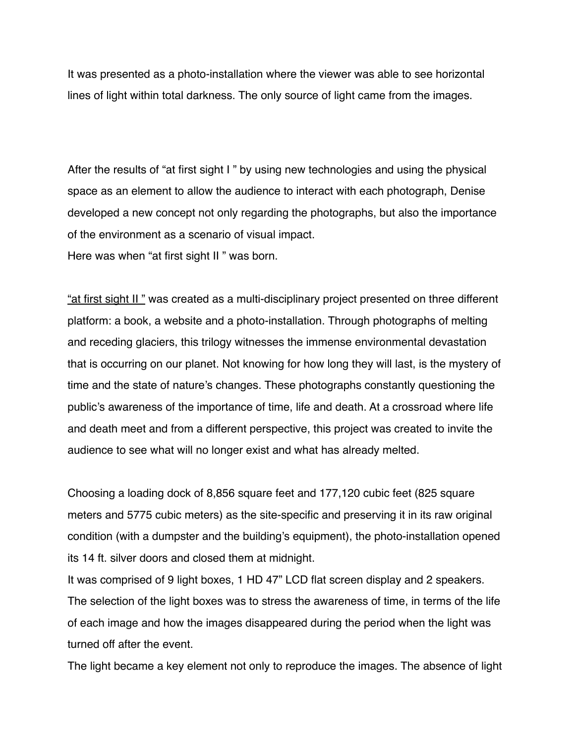It was presented as a photo-installation where the viewer was able to see horizontal lines of light within total darkness. The only source of light came from the images.

After the results of "at first sight I " by using new technologies and using the physical space as an element to allow the audience to interact with each photograph, Denise developed a new concept not only regarding the photographs, but also the importance of the environment as a scenario of visual impact. Here was when "at first sight II " was born.

["at first sight II "](https://www.deniseliraratinoff.com/copia-at-first-sight-ii) was created as a multi-disciplinary project presented on three different platform: a book, a website and a photo-installation. Through photographs of melting and receding glaciers, this trilogy witnesses the immense environmental devastation that is occurring on our planet. Not knowing for how long they will last, is the mystery of time and the state of nature's changes. These photographs constantly questioning the public's awareness of the importance of time, life and death. At a crossroad where life and death meet and from a different perspective, this project was created to invite the audience to see what will no longer exist and what has already melted.

Choosing a loading dock of 8,856 square feet and 177,120 cubic feet (825 square meters and 5775 cubic meters) as the site-specific and preserving it in its raw original condition (with a dumpster and the building's equipment), the photo-installation opened its 14 ft. silver doors and closed them at midnight.

It was comprised of 9 light boxes, 1 HD 47" LCD flat screen display and 2 speakers. The selection of the light boxes was to stress the awareness of time, in terms of the life of each image and how the images disappeared during the period when the light was turned off after the event.

The light became a key element not only to reproduce the images. The absence of light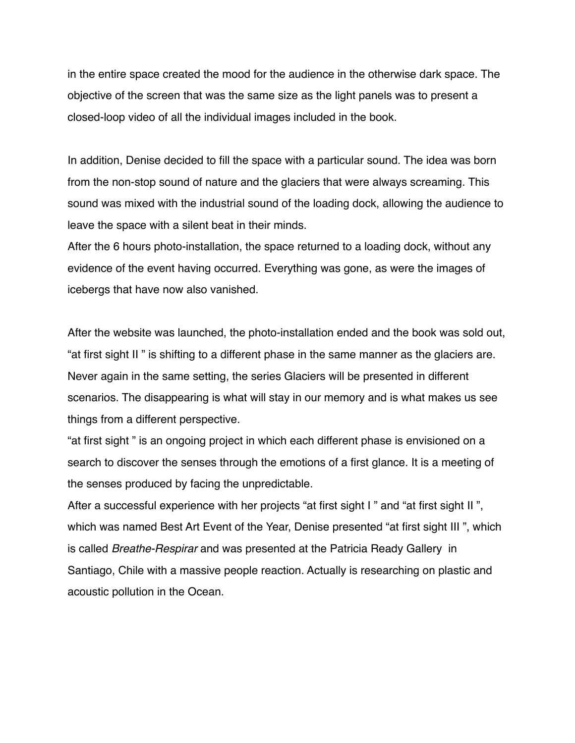in the entire space created the mood for the audience in the otherwise dark space. The objective of the screen that was the same size as the light panels was to present a closed-loop video of all the individual images included in the book.

In addition, Denise decided to fill the space with a particular sound. The idea was born from the non-stop sound of nature and the glaciers that were always screaming. This sound was mixed with the industrial sound of the loading dock, allowing the audience to leave the space with a silent beat in their minds.

After the 6 hours photo-installation, the space returned to a loading dock, without any evidence of the event having occurred. Everything was gone, as were the images of icebergs that have now also vanished.

After the website was launched, the photo-installation ended and the book was sold out, "at first sight II " is shifting to a different phase in the same manner as the glaciers are. Never again in the same setting, the series Glaciers will be presented in different scenarios. The disappearing is what will stay in our memory and is what makes us see things from a different perspective.

"at first sight " is an ongoing project in which each different phase is envisioned on a search to discover the senses through the emotions of a first glance. It is a meeting of the senses produced by facing the unpredictable.

After a successful experience with her projects "at first sight I" and "at first sight II", which was named Best Art Event of the Year, Denise presented "at first sight III", which is called *Breathe-Respirar* and was presented at the Patricia Ready Gallery in Santiago, Chile with a massive people reaction. Actually is researching on plastic and acoustic pollution in the Ocean.